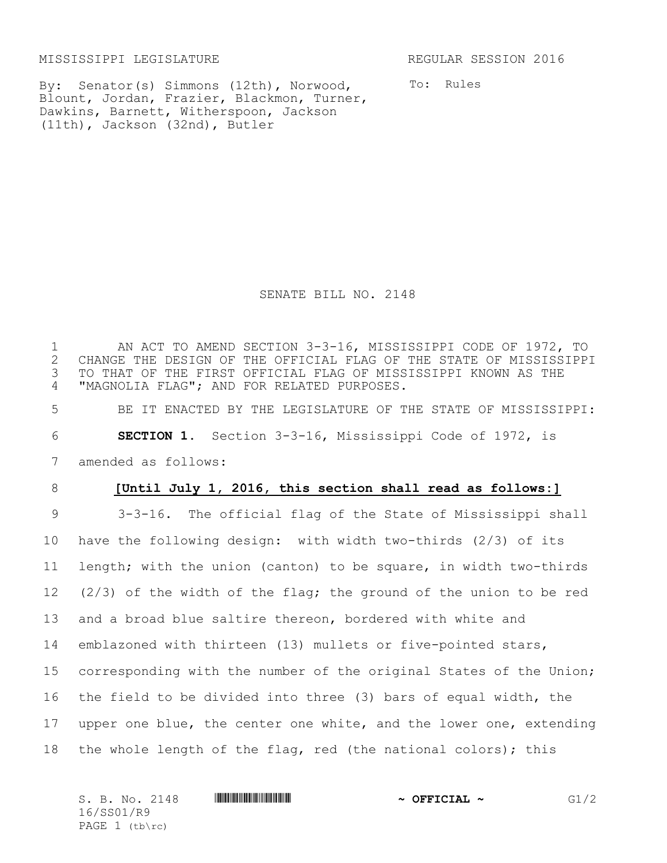MISSISSIPPI LEGISLATURE REGULAR SESSION 2016

By: Senator(s) Simmons (12th), Norwood, Blount, Jordan, Frazier, Blackmon, Turner, Dawkins, Barnett, Witherspoon, Jackson (11th), Jackson (32nd), Butler

To: Rules

SENATE BILL NO. 2148

1 AN ACT TO AMEND SECTION 3-3-16, MISSISSIPPI CODE OF 1972, TO<br>2 CHANGE THE DESIGN OF THE OFFICIAL FLAG OF THE STATE OF MISSISSIPP. CHANGE THE DESIGN OF THE OFFICIAL FLAG OF THE STATE OF MISSISSIPPI 3 TO THAT OF THE FIRST OFFICIAL FLAG OF MISSISSIPPI KNOWN AS THE 4 "MAGNOLIA FLAG"; AND FOR RELATED PURPOSES.

5 BE IT ENACTED BY THE LEGISLATURE OF THE STATE OF MISSISSIPPI: 6 **SECTION 1.** Section 3-3-16, Mississippi Code of 1972, is 7 amended as follows:

## 8 **[Until July 1, 2016, this section shall read as follows:]**

 3-3-16. The official flag of the State of Mississippi shall have the following design: with width two-thirds (2/3) of its length; with the union (canton) to be square, in width two-thirds (2/3) of the width of the flag; the ground of the union to be red and a broad blue saltire thereon, bordered with white and emblazoned with thirteen (13) mullets or five-pointed stars, corresponding with the number of the original States of the Union; the field to be divided into three (3) bars of equal width, the 17 upper one blue, the center one white, and the lower one, extending the whole length of the flag, red (the national colors); this

| S. B. No. 2148   | $\sim$ OFFICIAL $\sim$ | /2 |
|------------------|------------------------|----|
| 16/SS01/R9       |                        |    |
| PAGE $1$ (tb\rc) |                        |    |